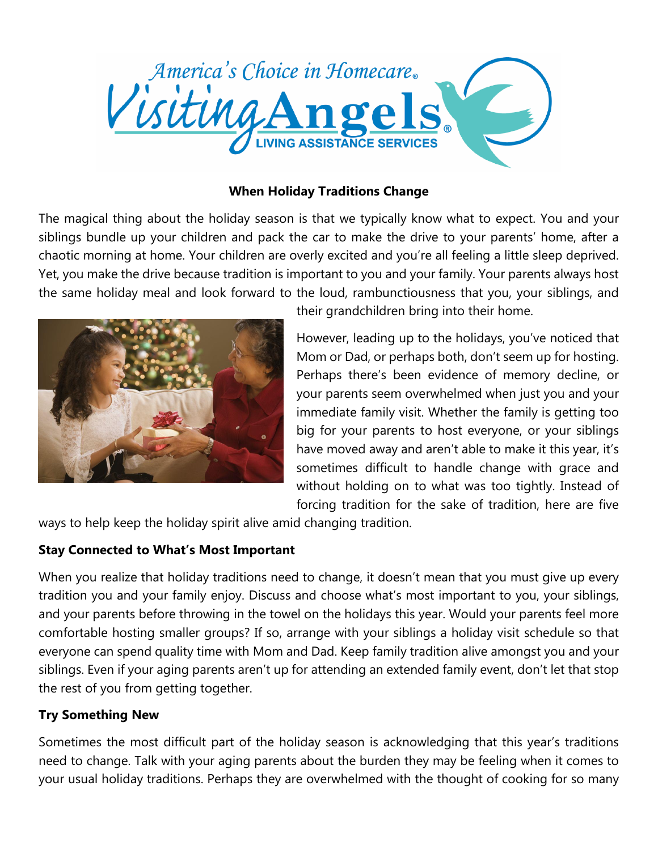

#### **When Holiday Traditions Change**

The magical thing about the holiday season is that we typically know what to expect. You and your siblings bundle up your children and pack the car to make the drive to your parents' home, after a chaotic morning at home. Your children are overly excited and you're all feeling a little sleep deprived. Yet, you make the drive because tradition is important to you and your family. Your parents always host the same holiday meal and look forward to the loud, rambunctiousness that you, your siblings, and



their grandchildren bring into their home.

However, leading up to the holidays, you've noticed that Mom or Dad, or perhaps both, don't seem up for hosting. Perhaps there's been evidence of memory decline, or your parents seem overwhelmed when just you and your immediate family visit. Whether the family is getting too big for your parents to host everyone, or your siblings have moved away and aren't able to make it this year, it's sometimes difficult to handle change with grace and without holding on to what was too tightly. Instead of forcing tradition for the sake of tradition, here are five

ways to help keep the holiday spirit alive amid changing tradition.

## **Stay Connected to What's Most Important**

When you realize that holiday traditions need to change, it doesn't mean that you must give up every tradition you and your family enjoy. Discuss and choose what's most important to you, your siblings, and your parents before throwing in the towel on the holidays this year. Would your parents feel more comfortable hosting smaller groups? If so, arrange with your siblings a holiday visit schedule so that everyone can spend quality time with Mom and Dad. Keep family tradition alive amongst you and your siblings. Even if your aging parents aren't up for attending an extended family event, don't let that stop the rest of you from getting together.

## **Try Something New**

Sometimes the most difficult part of the holiday season is acknowledging that this year's traditions need to change. Talk with your aging parents about the burden they may be feeling when it comes to your usual holiday traditions. Perhaps they are overwhelmed with the thought of cooking for so many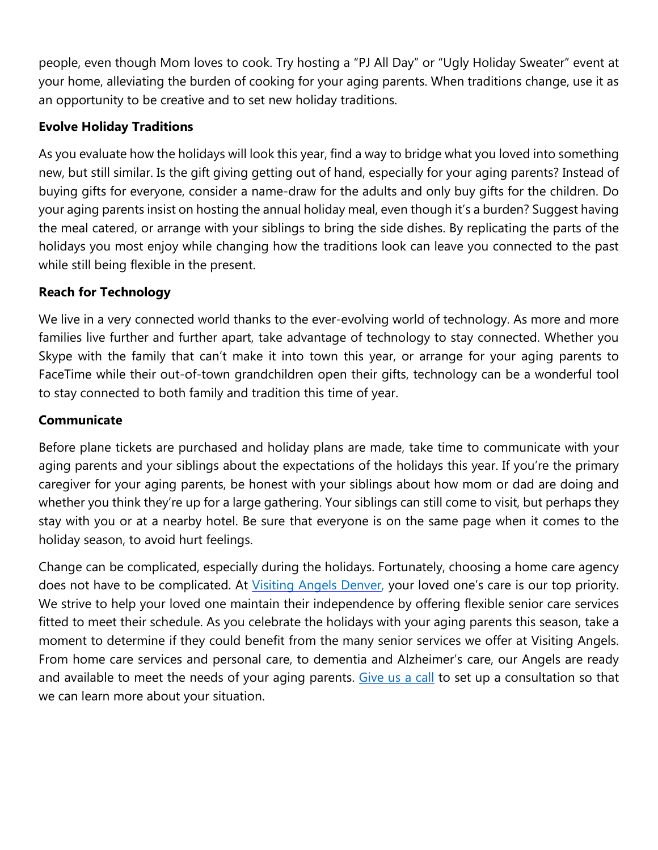people, even though Mom loves to cook. Try hosting a "PJ All Day" or "Ugly Holiday Sweater" event at your home, alleviating the burden of cooking for your aging parents. When traditions change, use it as an opportunity to be creative and to set new holiday traditions.

## **Evolve Holiday Traditions**

As you evaluate how the holidays will look this year, find a way to bridge what you loved into something new, but still similar. Is the gift giving getting out of hand, especially for your aging parents? Instead of buying gifts for everyone, consider a name-draw for the adults and only buy gifts for the children. Do your aging parents insist on hosting the annual holiday meal, even though it's a burden? Suggest having the meal catered, or arrange with your siblings to bring the side dishes. By replicating the parts of the holidays you most enjoy while changing how the traditions look can leave you connected to the past while still being flexible in the present.

# **Reach for Technology**

We live in a very connected world thanks to the ever-evolving world of technology. As more and more families live further and further apart, take advantage of technology to stay connected. Whether you Skype with the family that can't make it into town this year, or arrange for your aging parents to FaceTime while their out-of-town grandchildren open their gifts, technology can be a wonderful tool to stay connected to both family and tradition this time of year.

#### **Communicate**

Before plane tickets are purchased and holiday plans are made, take time to communicate with your aging parents and your siblings about the expectations of the holidays this year. If you're the primary caregiver for your aging parents, be honest with your siblings about how mom or dad are doing and whether you think they're up for a large gathering. Your siblings can still come to visit, but perhaps they stay with you or at a nearby hotel. Be sure that everyone is on the same page when it comes to the holiday season, to avoid hurt feelings.

Change can be complicated, especially during the holidays. Fortunately, choosing a home care agency does not have to be complicated. At Visiting Angels [Denver,](http://www.visitingangels.com/denver/home) your loved one's care is our top priority. We strive to help your loved one maintain their independence by offering flexible senior care services fitted to meet their schedule. As you celebrate the holidays with your aging parents this season, take a moment to determine if they could benefit from the many senior services we offer at Visiting Angels. From home care services and personal care, to dementia and Alzheimer's care, our Angels are ready and available to meet the needs of your aging parents. [Give](https://www.visitingangels.com/denver/contact-us) us a call to set up a consultation so that we can learn more about your situation.